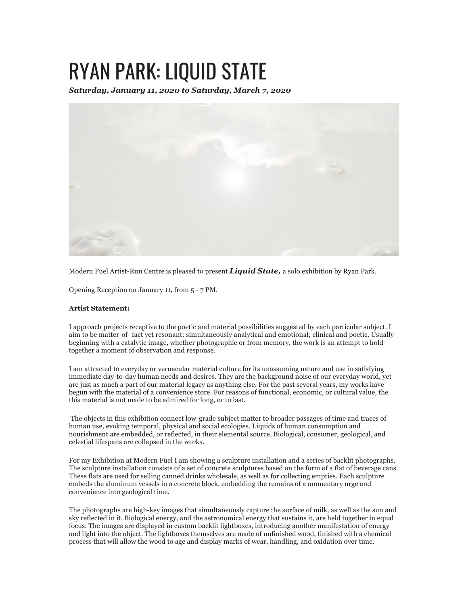## RYAN PARK: LIQUID STATE

*Saturday, January 11, 2020 to Saturday, March 7, 2020*



Modern Fuel Artist-Run Centre is pleased to present *Liquid State,* a solo exhibition by Ryan Park.

Opening Reception on January 11, from 5 - 7 PM.

## **Artist Statement:**

I approach projects receptive to the poetic and material possibilities suggested by each particular subject. I aim to be matter-of- fact yet resonant: simultaneously analytical and emotional; clinical and poetic. Usually beginning with a catalytic image, whether photographic or from memory, the work is an attempt to hold together a moment of observation and response.

I am attracted to everyday or vernacular material culture for its unassuming nature and use in satisfying immediate day-to-day human needs and desires. They are the background noise of our everyday world, yet are just as much a part of our material legacy as anything else. For the past several years, my works have begun with the material of a convenience store. For reasons of functional, economic, or cultural value, the this material is not made to be admired for long, or to last.

The objects in this exhibition connect low-grade subject matter to broader passages of time and traces of human use, evoking temporal, physical and social ecologies. Liquids of human consumption and nourishment are embedded, or reflected, in their elemental source. Biological, consumer, geological, and celestial lifespans are collapsed in the works.

For my Exhibition at Modern Fuel I am showing a sculpture installation and a series of backlit photographs. The sculpture installation consists of a set of concrete sculptures based on the form of a flat of beverage cans. These flats are used for selling canned drinks wholesale, as well as for collecting empties. Each sculpture embeds the aluminum vessels in a concrete block, embedding the remains of a momentary urge and convenience into geological time.

The photographs are high-key images that simultaneously capture the surface of milk, as well as the sun and sky reflected in it. Biological energy, and the astronomical energy that sustains it, are held together in equal focus. The images are displayed in custom backlit lightboxes, introducing another manifestation of energy and light into the object. The lightboxes themselves are made of unfinished wood, finished with a chemical process that will allow the wood to age and display marks of wear, handling, and oxidation over time.